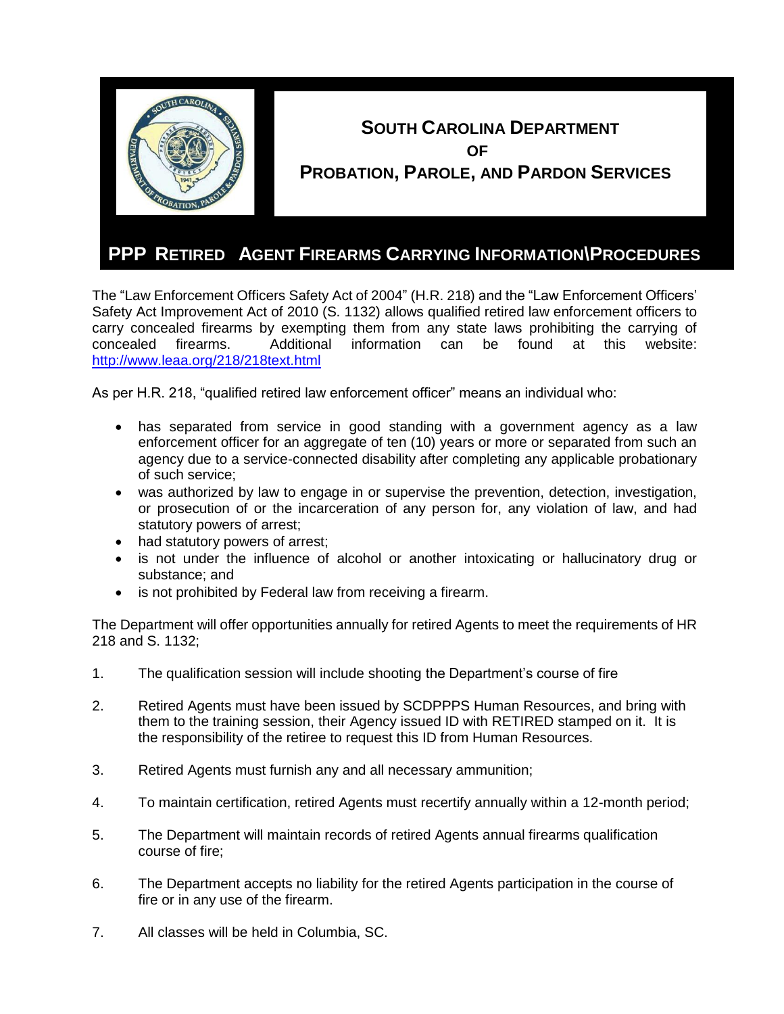

The "Law Enforcement Officers Safety Act of 2004" (H.R. 218) and the "Law Enforcement Officers' Safety Act Improvement Act of 2010 (S. 1132) allows qualified retired law enforcement officers to carry concealed firearms by exempting them from any state laws prohibiting the carrying of concealed firearms. Additional information can be found at this website: <http://www.leaa.org/218/218text.html>

As per H.R. 218, "qualified retired law enforcement officer" means an individual who:

- has separated from service in good standing with a government agency as a law enforcement officer for an aggregate of ten (10) years or more or separated from such an agency due to a service-connected disability after completing any applicable probationary of such service;
- was authorized by law to engage in or supervise the prevention, detection, investigation, or prosecution of or the incarceration of any person for, any violation of law, and had statutory powers of arrest;
- had statutory powers of arrest;
- is not under the influence of alcohol or another intoxicating or hallucinatory drug or substance; and
- is not prohibited by Federal law from receiving a firearm.

The Department will offer opportunities annually for retired Agents to meet the requirements of HR 218 and S. 1132;

- 1. The qualification session will include shooting the Department's course of fire
- 2. Retired Agents must have been issued by SCDPPPS Human Resources, and bring with them to the training session, their Agency issued ID with RETIRED stamped on it. It is the responsibility of the retiree to request this ID from Human Resources.
- 3. Retired Agents must furnish any and all necessary ammunition;
- 4. To maintain certification, retired Agents must recertify annually within a 12-month period;
- 5. The Department will maintain records of retired Agents annual firearms qualification course of fire;
- 6. The Department accepts no liability for the retired Agents participation in the course of fire or in any use of the firearm.
- 7. All classes will be held in Columbia, SC.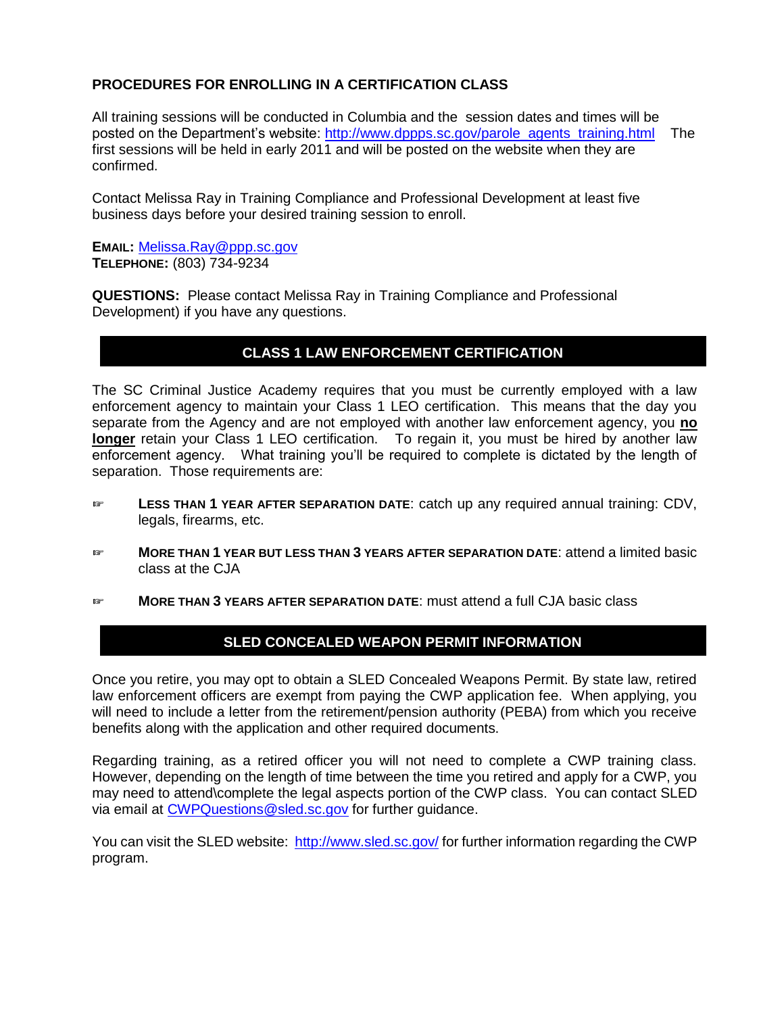## **PROCEDURES FOR ENROLLING IN A CERTIFICATION CLASS**

All training sessions will be conducted in Columbia and the session dates and times will be posted on the Department's website: [http://www.dppps.sc.gov/parole\\_agents\\_training.html](http://www.dppps.sc.gov/parole_agents_training.html) The first sessions will be held in early 2011 and will be posted on the website when they are confirmed.

Contact Melissa Ray in Training Compliance and Professional Development at least five business days before your desired training session to enroll.

**EMAIL:** [Melissa.Ray@ppp.sc.gov](mailto:Melissa.Ray@ppp.sc.gov) **TELEPHONE:** (803) 734-9234

**QUESTIONS:** Please contact Melissa Ray in Training Compliance and Professional Development) if you have any questions.

## **CLASS 1 LAW ENFORCEMENT CERTIFICATION**

The SC Criminal Justice Academy requires that you must be currently employed with a law enforcement agency to maintain your Class 1 LEO certification. This means that the day you separate from the Agency and are not employed with another law enforcement agency, you **no longer** retain your Class 1 LEO certification. To regain it, you must be hired by another law enforcement agency. What training you'll be required to complete is dictated by the length of separation. Those requirements are:

- ☞ **LESS THAN 1 YEAR AFTER SEPARATION DATE**: catch up any required annual training: CDV, legals, firearms, etc.
- ☞ **MORE THAN 1 YEAR BUT LESS THAN 3 YEARS AFTER SEPARATION DATE**: attend a limited basic class at the CJA
- ☞ **MORE THAN 3 YEARS AFTER SEPARATION DATE**: must attend a full CJA basic class

## **SLED CONCEALED WEAPON PERMIT INFORMATION**

Once you retire, you may opt to obtain a SLED Concealed Weapons Permit. By state law, retired law enforcement officers are exempt from paying the CWP application fee. When applying, you will need to include a letter from the retirement/pension authority (PEBA) from which you receive benefits along with the application and other required documents.

Regarding training, as a retired officer you will not need to complete a CWP training class. However, depending on the length of time between the time you retired and apply for a CWP, you may need to attend\complete the legal aspects portion of the CWP class. You can contact SLED via email at [CWPQuestions@sled.sc.gov](mailto:CWPQuestions@sled.sc.gov) for further guidance.

You can visit the SLED website:<http://www.sled.sc.gov/> for further information regarding the CWP program.